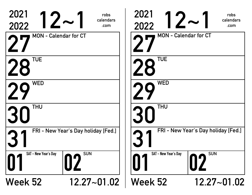| 2021<br>2022         | robs<br>$12\textcolor{red}{\thicksim}1$<br>calendars<br>.com | 2021<br>2022         | robs<br>$12-$<br>calendars<br>.com  |
|----------------------|--------------------------------------------------------------|----------------------|-------------------------------------|
|                      | <b>MON - Calendar for CT</b>                                 |                      | <b>MON - Calendar for CT</b>        |
| <b>TUE</b>           |                                                              | <b>TUE</b>           |                                     |
| <b>WED</b>           |                                                              | <b>WED</b>           |                                     |
| <b>THU</b>           |                                                              | <b>THU</b>           |                                     |
|                      | FRI - New Year's Day holiday [Fed.]                          |                      | FRI - New Year's Day holiday [Fed.] |
| SAT - New Year's Day | <b>SUN</b>                                                   | SAT - New Year's Day | <b>SUN</b>                          |
| <b>Week 52</b>       | $12.27 - 01.02$                                              | <b>Week 52</b>       | 12.27~01.02                         |

| 2021<br>$12\sim$<br>2022     | robs<br>calendars<br>.com           | 2021<br>2022         | robs<br>$12-$<br>calendars<br>.com  |
|------------------------------|-------------------------------------|----------------------|-------------------------------------|
| <b>MON - Calendar for CT</b> |                                     |                      | <b>MON - Calendar for CT</b>        |
| <b>TUE</b><br>28             |                                     | <b>TUE</b>           |                                     |
| <b>WED</b>                   |                                     | <b>WED</b>           |                                     |
| <b>THU</b><br><b>30</b>      |                                     | <b>THU</b>           |                                     |
|                              | FRI - New Year's Day holiday [Fed.] |                      | FRI - New Year's Day holiday [Fed.] |
| SAT - New Year's Day         | <b>SUN</b>                          | SAT - New Year's Day | <b>SUN</b>                          |
| <b>Week 52</b>               | $12.27 - 01.02$                     | Week 52              | 12.27~01.02                         |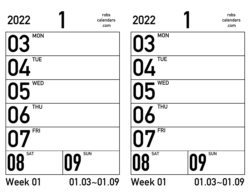| 2022                       | robs<br>calendars<br>.com | 2022             | robs<br>calendars<br>.com |
|----------------------------|---------------------------|------------------|---------------------------|
| <b>MON</b><br>03           |                           | <b>MON</b><br>03 |                           |
| <b>TUE</b><br>$\mathbf{L}$ |                           | <b>TUE</b><br>4  |                           |
| <b>WED</b><br>05           |                           | <b>WED</b><br>05 |                           |
| <b>THU</b>                 |                           | <b>THU</b>       |                           |
| <b>FRI</b>                 |                           | <b>FRI</b>       |                           |
| <b>SAT</b><br>18           | <b>SUN</b><br>09          | <b>SAT</b><br>08 | <b>SUN</b><br>09          |
| <b>Week 01</b>             | $01.03 - 01.09$           | <b>Week 01</b>   | $01.03 - 01.09$           |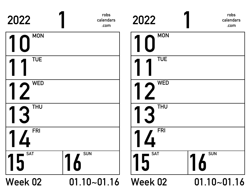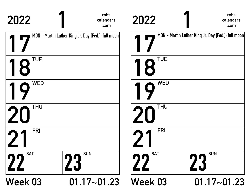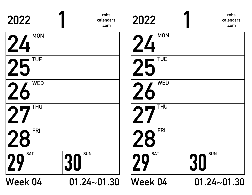| 2022             | robs<br>calendars<br>.com | 2022             | robs<br>calendars<br>.com    |
|------------------|---------------------------|------------------|------------------------------|
| <b>MON</b><br>24 |                           | <b>MON</b><br>24 |                              |
| <b>TUE</b><br>25 |                           | <b>TUE</b><br>25 |                              |
| <b>WED</b><br>26 |                           | <b>WED</b>       |                              |
| <b>THU</b>       |                           | <b>THU</b>       |                              |
| <b>FRI</b>       |                           | <b>FRI</b>       |                              |
| <b>SAT</b><br>29 | <b>SUN</b><br>30          | <b>SAT</b><br>n  | <b>SUN</b><br>3 <sub>l</sub> |
| Week 04          | $01.24 - 01.30$           | Week 04          | $01.24 - 01.30$              |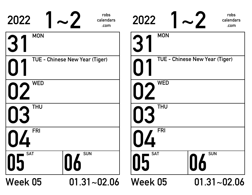| 2022             | robs<br>calendars<br>.com      | 2022             | robs<br>calendars<br>.com      |
|------------------|--------------------------------|------------------|--------------------------------|
| <b>MON</b>       |                                | <b>MON</b>       |                                |
|                  | TUE - Chinese New Year (Tiger) |                  | TUE - Chinese New Year (Tiger) |
| <b>WED</b>       |                                | <b>WED</b>       |                                |
| <b>THU</b>       |                                | <b>THU</b>       |                                |
| <b>FRI</b>       |                                | <b>FRI</b>       |                                |
| <b>SAT</b><br>05 | <b>SUN</b><br>06               | <b>SAT</b><br>05 | <b>SUN</b><br>16               |
| Week 05          | $01.31 - 02.06$                | Week 05          | $01.31 - 02.06$                |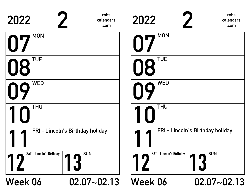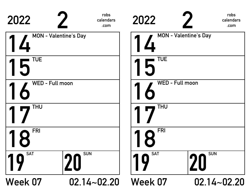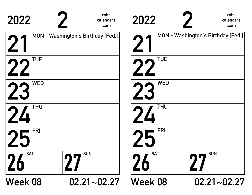| 2022                                 | robs<br>2022<br>calendars<br>.com | robs<br>calendars<br>.com                 |
|--------------------------------------|-----------------------------------|-------------------------------------------|
| MON - Washington's Birthday [Fed.]   |                                   | <b>MON - Washington's Birthday [Fed.]</b> |
| <b>TUE</b>                           |                                   | <b>TUE</b>                                |
| <b>WED</b><br>72                     |                                   | <b>WED</b>                                |
| <b>THU</b>                           | $\overline{u}$                    | <b>THU</b>                                |
| <b>FRI</b>                           |                                   | <b>FRI</b>                                |
| <b>SUN</b><br><b>SAT</b><br>26<br>ЛП |                                   | <b>SAT</b><br><b>SUN</b><br>77            |
| Week 08                              | <b>Week 08</b><br>$02.21 - 02.27$ | $02.21 - 02.27$                           |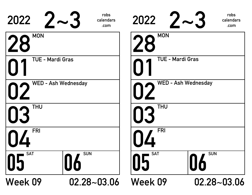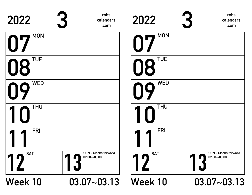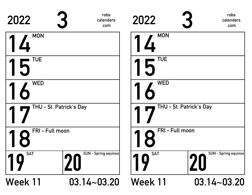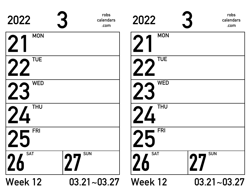| 2022             | robs<br>calendars<br>.com | 2022             | robs<br>calendars<br>.com |
|------------------|---------------------------|------------------|---------------------------|
| <b>MON</b>       |                           | <b>MON</b>       |                           |
| <b>TUE</b>       |                           | <b>TUE</b>       |                           |
| <b>WED</b><br>23 |                           | <b>WED</b>       |                           |
| <b>THU</b><br>24 |                           | <b>THU</b><br>24 |                           |
| <b>FRI</b>       |                           | <b>FRI</b>       |                           |
| <b>SAT</b><br>26 | <b>SUN</b><br><b>DD</b>   | <b>SAT</b>       | <b>SUN</b><br><b>DD</b>   |
| <b>Week 12</b>   | $03.21 - 03.27$           | Week 12          | $03.21 - 03.27$           |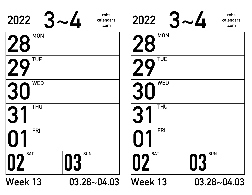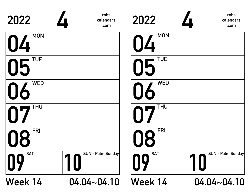| 2022                       | robs<br>calendars<br>.com | 2022             | robs<br>calendars<br>.com |
|----------------------------|---------------------------|------------------|---------------------------|
| <b>MON</b><br>04           |                           | <b>MON</b><br>04 |                           |
| <b>TUE</b><br>05           |                           | <b>TUE</b><br>15 |                           |
| <b>WED</b><br>06           |                           | <b>WED</b>       |                           |
| <b>THU</b><br>$\mathbf{D}$ |                           | <b>THU</b>       |                           |
| <b>FRI</b><br><b>N8</b>    |                           | <b>FRI</b><br>8  |                           |
| <b>SAT</b><br>09           | SUN - Palm Sunday         | <b>SAT</b><br>09 | SUN - Palm Sunday         |
| Week 14                    | $04.04 - 04.10$           | Week 14          | $04.04 - 04.10$           |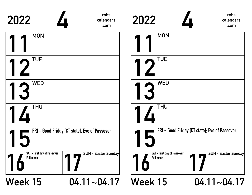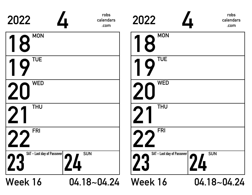| 2022                                    | robs<br>calendars<br>.com | 2022                                    | robs<br>calendars<br>.com |
|-----------------------------------------|---------------------------|-----------------------------------------|---------------------------|
| <b>MON</b><br>1<br>8                    |                           | <b>MON</b><br>18                        |                           |
| <b>TUE</b><br>η                         |                           | <b>TUE</b>                              |                           |
| <b>WED</b><br>20                        |                           | <b>WED</b>                              |                           |
| <b>THU</b>                              |                           | <b>THU</b>                              |                           |
| <b>FRI</b>                              |                           | <b>FRI</b>                              |                           |
| SAT - Last day of Passover<br><b>ZJ</b> | <b>SUN</b>                | <b>SAT - Last day of Passover</b><br>ZJ | <b>SUN</b>                |
| Week 16                                 | $04.18 - 04.24$           | Week 16                                 | $04.18 - 04.24$           |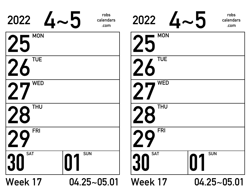| $2022$ $4~5$                 | robs<br>calendars<br>.com | $2022$ $4 \times 5$ | robs<br>calendars<br>.com |
|------------------------------|---------------------------|---------------------|---------------------------|
| <b>MON</b><br>25             |                           | <b>MON</b><br>25    |                           |
| <b>TUE</b><br>26             |                           | <b>TUE</b>          |                           |
| <b>WED</b><br>2 <sub>7</sub> |                           | <b>WED</b>          |                           |
| <b>THU</b><br>28             |                           | <b>THU</b><br>28    |                           |
| <b>FRI</b>                   |                           | <b>FRI</b>          |                           |
| <b>SAT</b><br>30             | <b>SUN</b>                | <b>SAT</b><br>30    | <b>SUN</b>                |
| Week 17                      | $04.25 - 05.01$           | Week 17             | $04.25 - 05.01$           |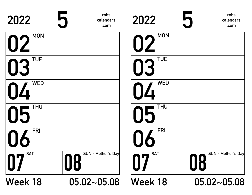| 2022             | 5<br>robs<br>calendars<br>.com | 2022             | 5<br>robs<br>calendars<br>.com |
|------------------|--------------------------------|------------------|--------------------------------|
| <b>MON</b><br>02 |                                | <b>MON</b><br>02 |                                |
| <b>TUE</b><br>03 |                                | <b>TUE</b>       |                                |
| <b>WED</b><br>04 |                                | <b>WED</b>       |                                |
| <b>THU</b><br>05 |                                | <b>THU</b><br>15 |                                |
| <b>FRI</b>       |                                | <b>FRI</b>       |                                |
| <b>SAT</b>       | SUN - Mother's Day<br>08       | <b>SAT</b>       | SUN - Mother's Day<br>08       |
| Week 18          | $05.02 - 05.08$                | Week 18          | $05.02 - 05.08$                |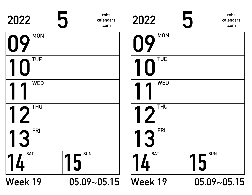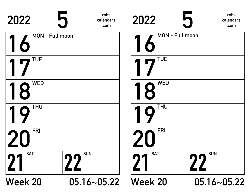| 2022                   | robs<br>5<br>calendars<br>.com | 2022                 | robs<br>calendars<br>.com |
|------------------------|--------------------------------|----------------------|---------------------------|
| <b>MON - Full moon</b> |                                | MON - Full moon      |                           |
| <b>TUE</b>             |                                | <b>TUE</b>           |                           |
| <b>WED</b><br>8        |                                | <b>WED</b><br>1<br>8 |                           |
| <b>THU</b>             |                                | <b>THU</b>           |                           |
| <b>FRI</b>             |                                | <b>FRI</b>           |                           |
| <b>SAT</b><br>21       | <b>SUN</b><br>22               | <b>SAT</b>           | <b>SUN</b><br>מר          |
| <b>Week 20</b>         | $05.16 - 05.22$                | <b>Week 20</b>       | $05.16 - 05.22$           |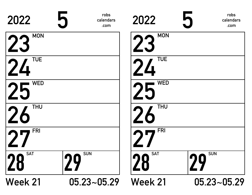| 2022                    | 5<br>robs<br>calendars<br>.com | 2022                      | robs<br>calendars<br>.com |
|-------------------------|--------------------------------|---------------------------|---------------------------|
| <b>MON</b><br>23        |                                | <b>MON</b>                |                           |
| <b>TUE</b><br>24        |                                | <b>TUE</b><br>24          |                           |
| <b>WED</b><br>25        |                                | <b>WED</b>                |                           |
| <b>THU</b><br><b>26</b> |                                | <b>THU</b><br>$\angle{0}$ |                           |
| <b>FRI</b>              |                                | <b>FRI</b>                |                           |
| <b>SAT</b><br>28        | <b>SUN</b><br>29               | <b>SAT</b><br>28          | <b>SUN</b><br>29          |
| <b>Week 21</b>          | $05.23 - 05.29$                | <b>Week 21</b>            | $05.23 - 05.29$           |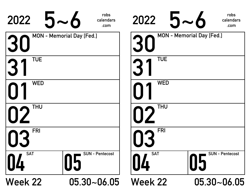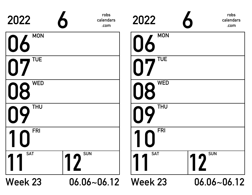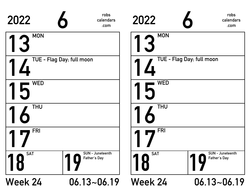| 2022                      | robs<br>calendars<br>.com               | 2022                      | robs<br>calendars<br>.com               |  |
|---------------------------|-----------------------------------------|---------------------------|-----------------------------------------|--|
| <b>MON</b>                |                                         | <b>MON</b>                |                                         |  |
| TUE - Flag Day; full moon |                                         | TUE - Flag Day; full moon |                                         |  |
| <b>WED</b>                |                                         | <b>WED</b>                |                                         |  |
| <b>THU</b>                |                                         | <b>THU</b>                |                                         |  |
| <b>FRI</b>                |                                         | <b>FRI</b>                |                                         |  |
| <b>SAT</b><br>8           | <b>SUN</b> - Juneteenth<br>Father's Day | <b>SAT</b><br>8           | <b>SUN</b> - Juneteenth<br>Father's Day |  |
| <b>Week 24</b>            | $06.13 - 06.19$                         | <b>Week 24</b>            | $06.13 - 06.19$                         |  |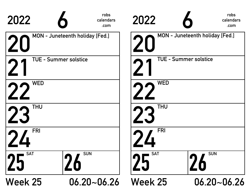| 2022                                        | robs<br>2022<br>calendars<br>.com |                              | robs<br>calendars<br>.com       |
|---------------------------------------------|-----------------------------------|------------------------------|---------------------------------|
| MON - Juneteenth holiday [Fed.]             |                                   |                              | MON - Juneteenth holiday [Fed.] |
| <b>TUE - Summer solstice</b>                |                                   | <b>TUE - Summer solstice</b> |                                 |
| <b>WED</b>                                  |                                   | <b>WED</b>                   |                                 |
| <b>THU</b>                                  |                                   | <b>THU</b>                   |                                 |
| <b>FRI</b>                                  |                                   | <b>FRI</b>                   |                                 |
| <b>SUN</b><br><b>SAT</b><br>25<br><b>ZO</b> |                                   | <b>SAT</b>                   | <b>SUN</b><br><b>ZO</b>         |
| <b>Week 25</b><br>$06.20 - 06.26$           |                                   | <b>Week 25</b>               | $06.20 - 06.26$                 |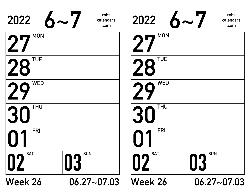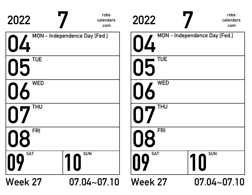| 2022             | robs<br>calendars<br>.com     | 2022             | robs<br>calendars<br>.com     |
|------------------|-------------------------------|------------------|-------------------------------|
| 04               | MON - Independence Day [Fed.] | $\prod$          | MON - Independence Day [Fed.] |
| <b>TUE</b><br>05 |                               | <b>TUE</b><br>05 |                               |
| <b>WED</b>       |                               | <b>WED</b>       |                               |
| THU              |                               | <b>THU</b>       |                               |
| <b>FRI</b>       |                               | <b>FRI</b><br>R  |                               |
| <b>SAT</b><br>09 | <b>SUN</b><br>10              | <b>SAT</b><br>09 | <b>SUN</b>                    |
| <b>Week 27</b>   | $07.04 - 07.10$               | <b>Week 27</b>   | $07.04 - 07.10$               |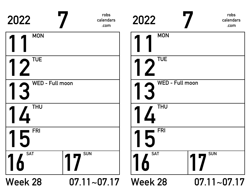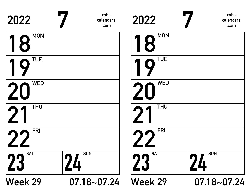| 2022                    | robs<br>calendars<br>.com | 2022             | robs<br>calendars<br>.com |
|-------------------------|---------------------------|------------------|---------------------------|
| <b>MON</b><br>$\bullet$ |                           | <b>MON</b><br>18 |                           |
| <b>TUE</b>              |                           | <b>TUE</b>       |                           |
| <b>WED</b>              |                           | <b>WED</b>       |                           |
| <b>THU</b>              |                           | <b>THU</b>       |                           |
| <b>FRI</b>              |                           | <b>FRI</b>       |                           |
| <b>SAT</b><br>23        | <b>SUN</b><br>24          | <b>SAT</b><br>23 | <b>SUN</b>                |
| <b>Week 29</b>          | $07.18 - 07.24$           | <b>Week 29</b>   | $07.18 - 07.24$           |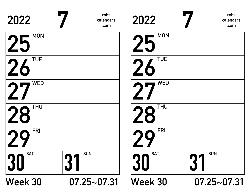| 2022             | robs<br>calendars<br>.com | 2022                    | robs<br>calendars<br>.com |
|------------------|---------------------------|-------------------------|---------------------------|
| <b>MON</b><br>25 |                           | <b>MON</b><br>25        |                           |
| <b>TUE</b><br>26 |                           | <b>TUE</b><br><b>26</b> |                           |
| <b>WED</b>       |                           | <b>WED</b>              |                           |
| <b>THU</b><br>28 |                           | <b>THU</b><br>28        |                           |
| <b>FRI</b>       |                           | <b>FRI</b>              |                           |
| <b>SAT</b>       | <b>SUN</b>                | <b>SAT</b><br>30        | <b>SUN</b><br>137         |
| Week 30          | 07.25~07.31               | <b>Week 30</b>          | $07.25 - 07.31$           |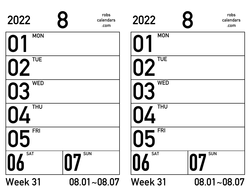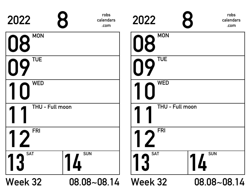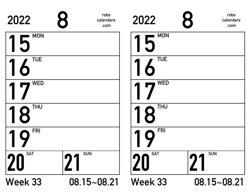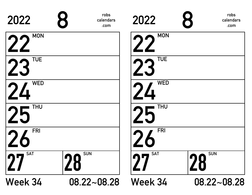| 2022             | robs<br>8<br>calendars<br>.com | 2022                    | robs<br>calendars<br>.com |
|------------------|--------------------------------|-------------------------|---------------------------|
| <b>MON</b><br>22 |                                | <b>MON</b>              |                           |
| <b>TUE</b><br>23 |                                | <b>TUE</b>              |                           |
| <b>WED</b><br>24 |                                | <b>WED</b><br>24        |                           |
| <b>THU</b><br>25 |                                | <b>THU</b><br>25        |                           |
| <b>FRI</b>       |                                | <b>FRI</b>              |                           |
| <b>SAT</b>       | <b>SUN</b><br>28               | <b>SAT</b><br><b>nn</b> | <b>SUN</b><br>28          |
| Week 34          | 08.22~08.28                    | Week 34                 | 08.22~08.28               |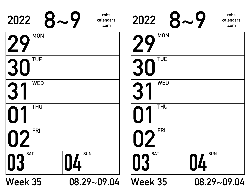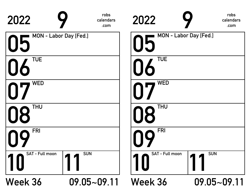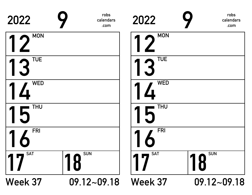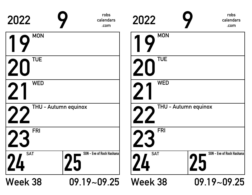| 2022             | robs<br>calendars<br>.com                     | 2022           | robs<br>calendars<br>.com       |
|------------------|-----------------------------------------------|----------------|---------------------------------|
| <b>MON</b>       |                                               | <b>MON</b>     |                                 |
| <b>TUE</b>       |                                               | <b>TUE</b>     |                                 |
| <b>WED</b>       |                                               | <b>WED</b>     |                                 |
|                  | THU - Autumn equinox                          |                | THU - Autumn equinox            |
| <b>FRI</b>       |                                               | <b>FRI</b>     |                                 |
| <b>SAT</b><br>Ц. | <b>SUN</b> - Eve of Rosh Hashana<br><b>SS</b> | <b>SAT</b>     | SUN - Eve of Rosh Hashana<br>25 |
| Week 38          | $09.19 - 09.25$                               | <b>Week 38</b> | $09.19 - 09.25$                 |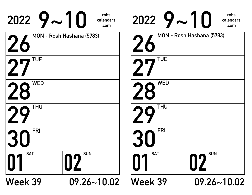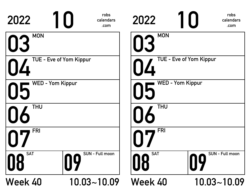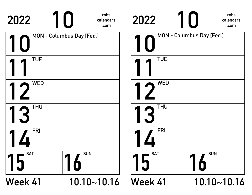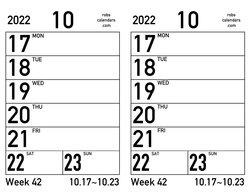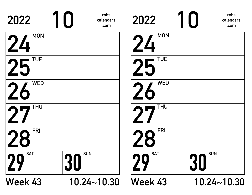| 2022                    | robs<br>calendars<br>.com | 2022             | robs<br>calendars<br>.com    |
|-------------------------|---------------------------|------------------|------------------------------|
| <b>MON</b><br>24        |                           | <b>MON</b><br>24 |                              |
| <b>TUE</b><br>25        |                           | <b>TUE</b>       |                              |
| <b>WED</b><br><b>26</b> |                           | <b>WED</b>       |                              |
| <b>THU</b>              |                           | <b>THU</b>       |                              |
| <b>FRI</b>              |                           | <b>FRI</b>       |                              |
| <b>SAT</b><br>29        | <b>SUN</b><br>30          | <b>SAT</b><br>10 | <b>SUN</b><br>3 <sub>l</sub> |
| Week 43                 | $10.24 - 10.30$           | Week 43          | $10.24 - 10.30$              |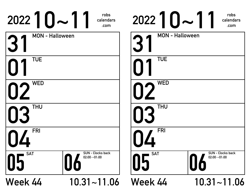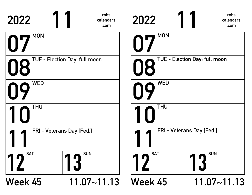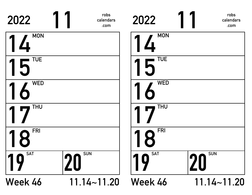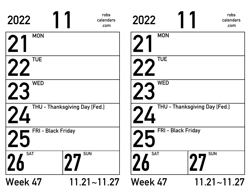| 2022                    | robs<br>calendars<br>.com     | 2022               | robs<br>calendars<br>.com     |
|-------------------------|-------------------------------|--------------------|-------------------------------|
| <b>MON</b>              |                               | <b>MON</b>         |                               |
| <b>TUE</b>              |                               | <b>TUE</b>         |                               |
| <b>WED</b>              |                               | <b>WED</b>         |                               |
|                         | THU - Thanksgiving Day [Fed.] |                    | THU - Thanksgiving Day [Fed.] |
| FRI - Black Friday      |                               | FRI - Black Friday |                               |
| <b>SAT</b><br><b>ZO</b> | <b>SUN</b><br><b>DD</b>       | <b>SAT</b>         | <b>SUN</b>                    |
| Week 47                 | $11.21 - 11.27$               | <b>Week 47</b>     | $11.21 - 11.27$               |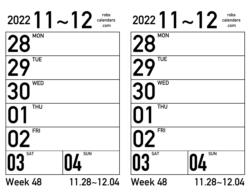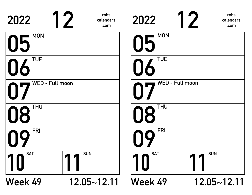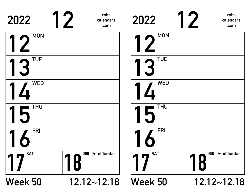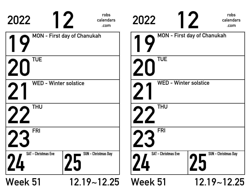| 2022                            | robs<br>calendars<br>.com          | 2022                       | robs<br>calendars<br>.com          |
|---------------------------------|------------------------------------|----------------------------|------------------------------------|
|                                 | <b>MON</b> - First day of Chanukah |                            | <b>MON - First day of Chanukah</b> |
| <b>TUE</b>                      |                                    | <b>TUE</b>                 |                                    |
| <b>WED - Winter solstice</b>    |                                    |                            | <b>WED - Winter solstice</b>       |
| <b>THU</b>                      |                                    | <b>THU</b>                 |                                    |
| <b>FRI</b>                      |                                    | <b>FRI</b>                 |                                    |
| <b>SAT - Christmas Eve</b><br>Ц | <b>SUN - Christmas Day</b>         | <b>SAT - Christmas Eve</b> | <b>SUN - Christmas Day</b>         |
| <b>Week 51</b>                  | $12.19 - 12.25$                    | <b>Week 51</b>             | $12.19 - 12.25$                    |